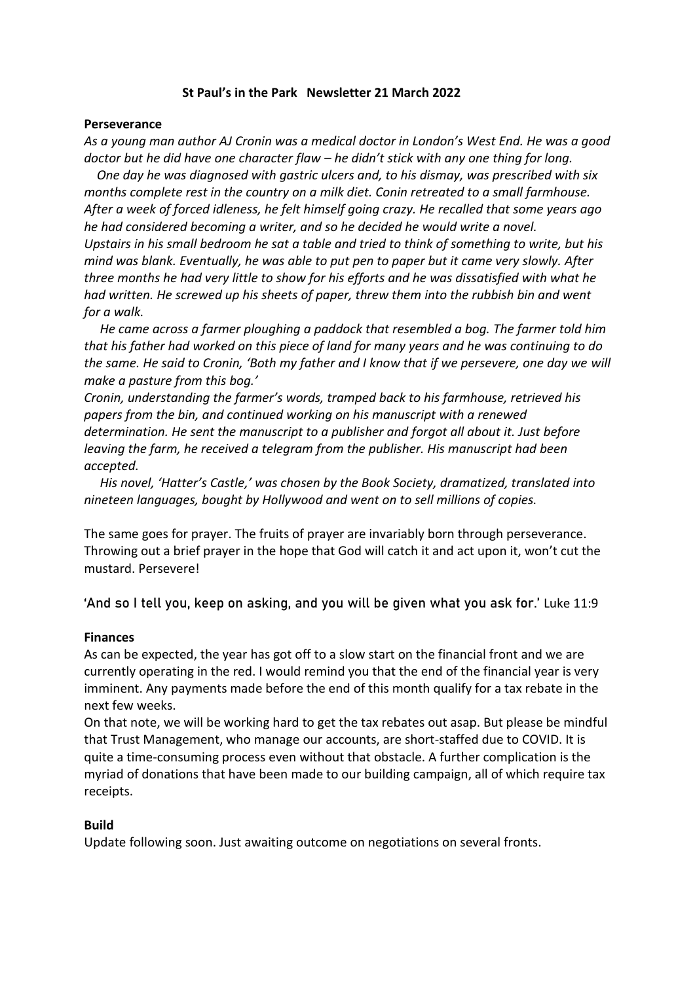### **St Paul's in the Park Newsletter 21 March 2022**

#### **Perseverance**

*As a young man author AJ Cronin was a medical doctor in London's West End. He was a good doctor but he did have one character flaw – he didn't stick with any one thing for long.*

 *One day he was diagnosed with gastric ulcers and, to his dismay, was prescribed with six months complete rest in the country on a milk diet. Conin retreated to a small farmhouse. After a week of forced idleness, he felt himself going crazy. He recalled that some years ago he had considered becoming a writer, and so he decided he would write a novel. Upstairs in his small bedroom he sat a table and tried to think of something to write, but his mind was blank. Eventually, he was able to put pen to paper but it came very slowly. After three months he had very little to show for his efforts and he was dissatisfied with what he had written. He screwed up his sheets of paper, threw them into the rubbish bin and went for a walk.*

 *He came across a farmer ploughing a paddock that resembled a bog. The farmer told him that his father had worked on this piece of land for many years and he was continuing to do the same. He said to Cronin, 'Both my father and I know that if we persevere, one day we will make a pasture from this bog.'*

*Cronin, understanding the farmer's words, tramped back to his farmhouse, retrieved his papers from the bin, and continued working on his manuscript with a renewed determination. He sent the manuscript to a publisher and forgot all about it. Just before leaving the farm, he received a telegram from the publisher. His manuscript had been accepted.* 

 *His novel, 'Hatter's Castle,' was chosen by the Book Society, dramatized, translated into nineteen languages, bought by Hollywood and went on to sell millions of copies.*

The same goes for prayer. The fruits of prayer are invariably born through perseverance. Throwing out a brief prayer in the hope that God will catch it and act upon it, won't cut the mustard. Persevere!

'And so I tell you, keep on asking, and you will be given what you ask for.' Luke 11:9

#### **Finances**

As can be expected, the year has got off to a slow start on the financial front and we are currently operating in the red. I would remind you that the end of the financial year is very imminent. Any payments made before the end of this month qualify for a tax rebate in the next few weeks.

On that note, we will be working hard to get the tax rebates out asap. But please be mindful that Trust Management, who manage our accounts, are short-staffed due to COVID. It is quite a time-consuming process even without that obstacle. A further complication is the myriad of donations that have been made to our building campaign, all of which require tax receipts.

### **Build**

Update following soon. Just awaiting outcome on negotiations on several fronts.